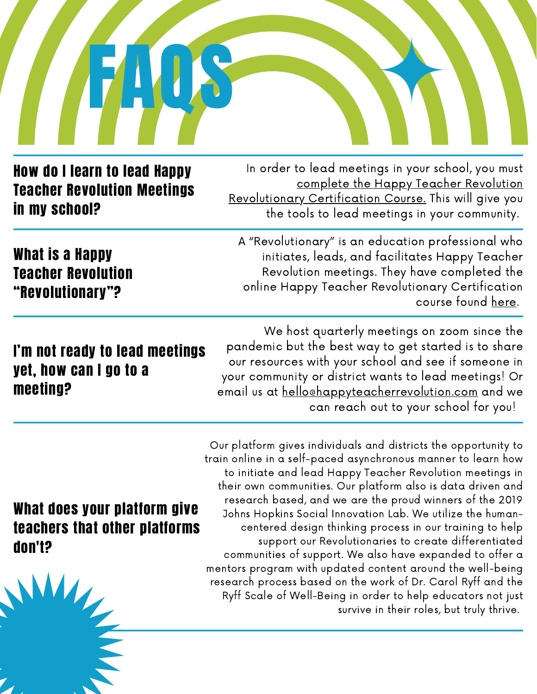

#### How do I learn to lead Happy Teacher Revolution Meetings in my school?

In order to lead meetings in your school, you must complete the Happy Teacher Revolution [Revolutionary](https://www.happyteacher.info/offers/vaKCLFoi/checkout) Certification Course. This will give you the tools to lead meetings in your community.

What is a Happy Teacher Revolution "Revolutionary"?

A "Revolutionary" is an education professional who initiates, leads, and facilitates Happy Teacher Revolution meetings. They have completed the online Happy Teacher Revolutionary Certification course found [here](https://www.happyteacher.info/offers/vaKCLFoi/checkout).

## I'm not ready to lead meetings yet, how can I go to a meeting?

We host quarterly meetings on zoom since the pandemic but the best way to get started is to share our resources with your school and see if someone in your community or district wants to lead meetings! Or email us at [hello@happyteacherrevolution.com](http://happyteacherrevolution.com/) and we can reach out to your school for you!

### What does your platform give teachers that other platforms don't?

Our platform gives individuals and districts the opportunity to train online in a self-paced asynchronous manner to learn how to initiate and lead Happy Teacher Revolution meetings in their own communities. Our platform also is data driven and research based, and we are the proud winners of the 2019 Johns Hopkins Social Innovation Lab. We utilize the humancentered design thinking process in our training to help support our Revolutionaries to create differentiated communities of support. We also have expanded to offer a mentors program with updated content around the well-being research process based on the work of Dr. Carol Ryff and the Ryff Scale of Well-Being in order to help educators not just survive in their roles, but truly thrive.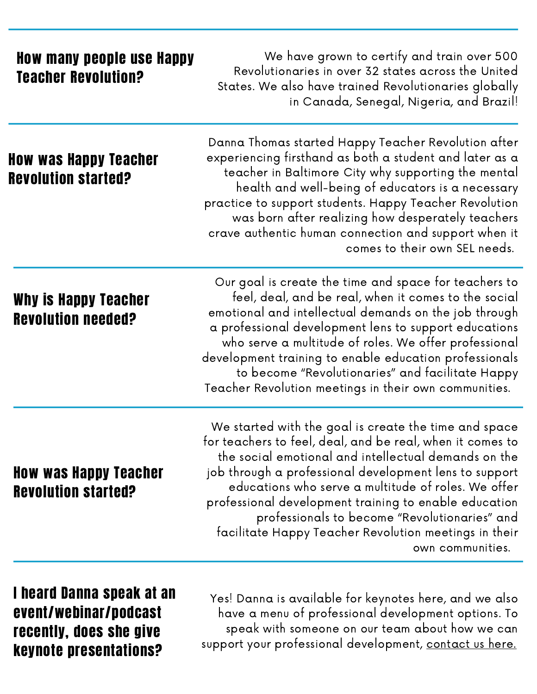| <b>How many people use Happy</b><br><b>Teacher Revolution?</b> | We have grown to certify and train over 500<br>Revolutionaries in over 32 states across the United<br>States. We also have trained Revolutionaries globally<br>in Canada, Senegal, Nigeria, and Brazil!                                                                                                                                                                                                                                                                            |
|----------------------------------------------------------------|------------------------------------------------------------------------------------------------------------------------------------------------------------------------------------------------------------------------------------------------------------------------------------------------------------------------------------------------------------------------------------------------------------------------------------------------------------------------------------|
| How was Happy Teacher<br><b>Revolution started?</b>            | Danna Thomas started Happy Teacher Revolution after<br>experiencing firsthand as both a student and later as a<br>teacher in Baltimore City why supporting the mental<br>health and well-being of educators is a necessary<br>practice to support students. Happy Teacher Revolution<br>was born after realizing how desperately teachers<br>crave authentic human connection and support when it<br>comes to their own SEL needs.                                                 |
| Why is Happy Teacher<br><b>Revolution needed?</b>              | Our goal is create the time and space for teachers to<br>feel, deal, and be real, when it comes to the social<br>emotional and intellectual demands on the job through<br>a professional development lens to support educations<br>who serve a multitude of roles. We offer professional<br>development training to enable education professionals<br>to become "Revolutionaries" and facilitate Happy<br>Teacher Revolution meetings in their own communities.                    |
| <b>How was Happy Teacher</b><br><b>Revolution started?</b>     | We started with the goal is create the time and space<br>for teachers to feel, deal, and be real, when it comes to<br>the social emotional and intellectual demands on the<br>job through a professional development lens to support<br>educations who serve a multitude of roles. We offer<br>professional development training to enable education<br>professionals to become "Revolutionaries" and<br>facilitate Happy Teacher Revolution meetings in their<br>own communities. |

I heard Danna speak at an event/webinar/podcast recently, does she give keynote presentations?

Yes! Danna is available for keynotes here, and we also have a menu of professional development options. To speak with someone on our team about how we can support your professional development, [contact](https://docs.google.com/forms/d/1iWoUw7aCXI39i_GEFMm9E469uUUdTbkVwpUBrZKxSSE/viewform?edit_requested=true) us here.